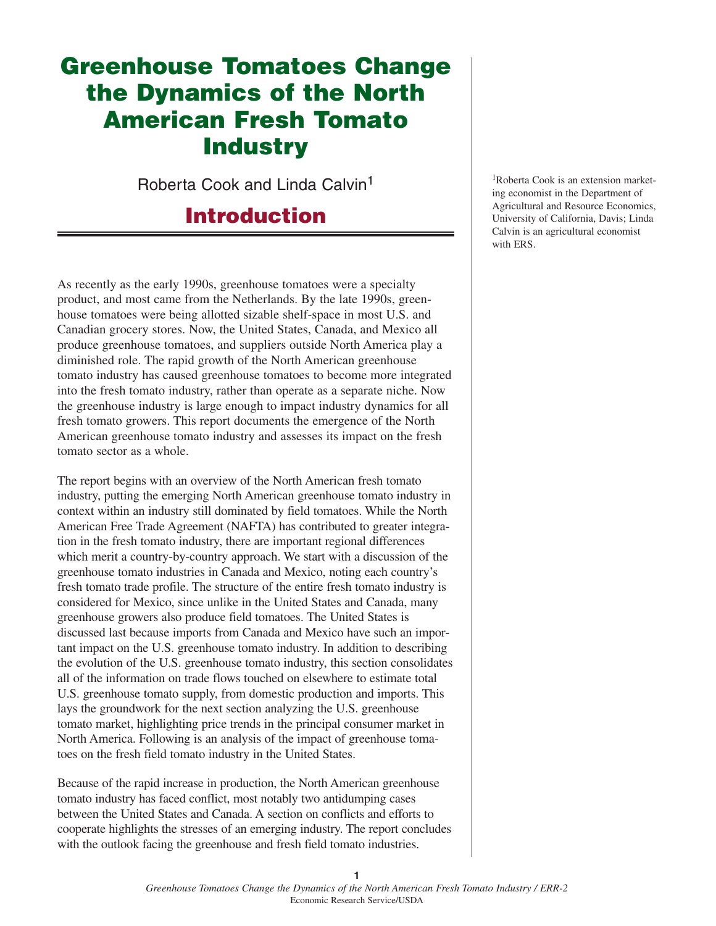# **Greenhouse Tomatoes Change the Dynamics of the North American Fresh Tomato Industry**

Roberta Cook and Linda Calvin<sup>1</sup>

## **Introduction**

As recently as the early 1990s, greenhouse tomatoes were a specialty product, and most came from the Netherlands. By the late 1990s, greenhouse tomatoes were being allotted sizable shelf-space in most U.S. and Canadian grocery stores. Now, the United States, Canada, and Mexico all produce greenhouse tomatoes, and suppliers outside North America play a diminished role. The rapid growth of the North American greenhouse tomato industry has caused greenhouse tomatoes to become more integrated into the fresh tomato industry, rather than operate as a separate niche. Now the greenhouse industry is large enough to impact industry dynamics for all fresh tomato growers. This report documents the emergence of the North American greenhouse tomato industry and assesses its impact on the fresh tomato sector as a whole.

The report begins with an overview of the North American fresh tomato industry, putting the emerging North American greenhouse tomato industry in context within an industry still dominated by field tomatoes. While the North American Free Trade Agreement (NAFTA) has contributed to greater integration in the fresh tomato industry, there are important regional differences which merit a country-by-country approach. We start with a discussion of the greenhouse tomato industries in Canada and Mexico, noting each country's fresh tomato trade profile. The structure of the entire fresh tomato industry is considered for Mexico, since unlike in the United States and Canada, many greenhouse growers also produce field tomatoes. The United States is discussed last because imports from Canada and Mexico have such an important impact on the U.S. greenhouse tomato industry. In addition to describing the evolution of the U.S. greenhouse tomato industry, this section consolidates all of the information on trade flows touched on elsewhere to estimate total U.S. greenhouse tomato supply, from domestic production and imports. This lays the groundwork for the next section analyzing the U.S. greenhouse tomato market, highlighting price trends in the principal consumer market in North America. Following is an analysis of the impact of greenhouse tomatoes on the fresh field tomato industry in the United States.

Because of the rapid increase in production, the North American greenhouse tomato industry has faced conflict, most notably two antidumping cases between the United States and Canada. A section on conflicts and efforts to cooperate highlights the stresses of an emerging industry. The report concludes with the outlook facing the greenhouse and fresh field tomato industries.

1Roberta Cook is an extension marketing economist in the Department of Agricultural and Resource Economics, University of California, Davis; Linda Calvin is an agricultural economist with ERS.

**1**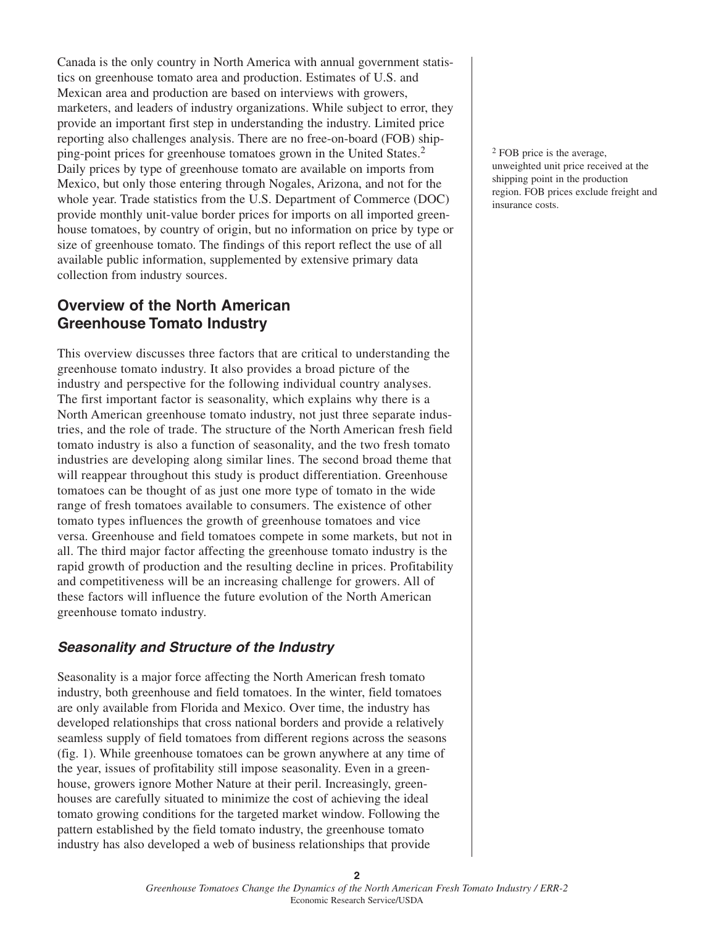Canada is the only country in North America with annual government statistics on greenhouse tomato area and production. Estimates of U.S. and Mexican area and production are based on interviews with growers, marketers, and leaders of industry organizations. While subject to error, they provide an important first step in understanding the industry. Limited price reporting also challenges analysis. There are no free-on-board (FOB) shipping-point prices for greenhouse tomatoes grown in the United States.<sup>2</sup> Daily prices by type of greenhouse tomato are available on imports from Mexico, but only those entering through Nogales, Arizona, and not for the whole year. Trade statistics from the U.S. Department of Commerce (DOC) provide monthly unit-value border prices for imports on all imported greenhouse tomatoes, by country of origin, but no information on price by type or size of greenhouse tomato. The findings of this report reflect the use of all available public information, supplemented by extensive primary data collection from industry sources.

## **Overview of the North American Greenhouse Tomato Industry**

This overview discusses three factors that are critical to understanding the greenhouse tomato industry. It also provides a broad picture of the industry and perspective for the following individual country analyses. The first important factor is seasonality, which explains why there is a North American greenhouse tomato industry, not just three separate industries, and the role of trade. The structure of the North American fresh field tomato industry is also a function of seasonality, and the two fresh tomato industries are developing along similar lines. The second broad theme that will reappear throughout this study is product differentiation. Greenhouse tomatoes can be thought of as just one more type of tomato in the wide range of fresh tomatoes available to consumers. The existence of other tomato types influences the growth of greenhouse tomatoes and vice versa. Greenhouse and field tomatoes compete in some markets, but not in all. The third major factor affecting the greenhouse tomato industry is the rapid growth of production and the resulting decline in prices. Profitability and competitiveness will be an increasing challenge for growers. All of these factors will influence the future evolution of the North American greenhouse tomato industry.

## **Seasonality and Structure of the Industry**

Seasonality is a major force affecting the North American fresh tomato industry, both greenhouse and field tomatoes. In the winter, field tomatoes are only available from Florida and Mexico. Over time, the industry has developed relationships that cross national borders and provide a relatively seamless supply of field tomatoes from different regions across the seasons (fig. 1). While greenhouse tomatoes can be grown anywhere at any time of the year, issues of profitability still impose seasonality. Even in a greenhouse, growers ignore Mother Nature at their peril. Increasingly, greenhouses are carefully situated to minimize the cost of achieving the ideal tomato growing conditions for the targeted market window. Following the pattern established by the field tomato industry, the greenhouse tomato industry has also developed a web of business relationships that provide

<sup>2</sup> FOB price is the average, unweighted unit price received at the shipping point in the production region. FOB prices exclude freight and insurance costs.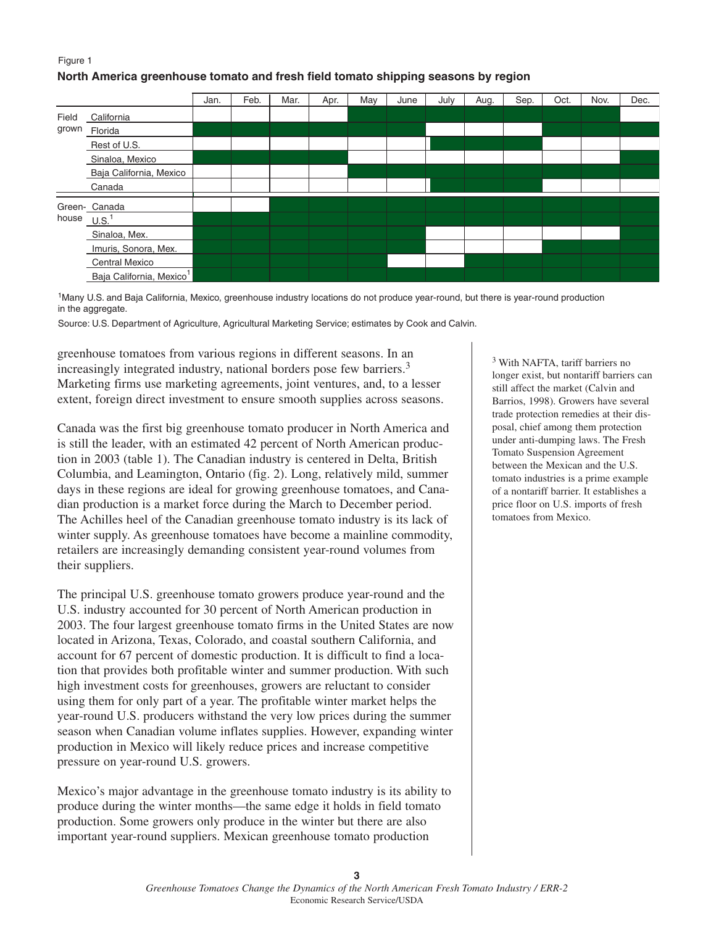### Figure 1 **North America greenhouse tomato and fresh field tomato shipping seasons by region**



1Many U.S. and Baja California, Mexico, greenhouse industry locations do not produce year-round, but there is year-round production in the aggregate.

Source: U.S. Department of Agriculture, Agricultural Marketing Service; estimates by Cook and Calvin.

greenhouse tomatoes from various regions in different seasons. In an increasingly integrated industry, national borders pose few barriers.<sup>3</sup> Marketing firms use marketing agreements, joint ventures, and, to a lesser extent, foreign direct investment to ensure smooth supplies across seasons.

Canada was the first big greenhouse tomato producer in North America and is still the leader, with an estimated 42 percent of North American production in 2003 (table 1). The Canadian industry is centered in Delta, British Columbia, and Leamington, Ontario (fig. 2). Long, relatively mild, summer days in these regions are ideal for growing greenhouse tomatoes, and Canadian production is a market force during the March to December period. The Achilles heel of the Canadian greenhouse tomato industry is its lack of winter supply. As greenhouse tomatoes have become a mainline commodity, retailers are increasingly demanding consistent year-round volumes from their suppliers.

The principal U.S. greenhouse tomato growers produce year-round and the U.S. industry accounted for 30 percent of North American production in 2003. The four largest greenhouse tomato firms in the United States are now located in Arizona, Texas, Colorado, and coastal southern California, and account for 67 percent of domestic production. It is difficult to find a location that provides both profitable winter and summer production. With such high investment costs for greenhouses, growers are reluctant to consider using them for only part of a year. The profitable winter market helps the year-round U.S. producers withstand the very low prices during the summer season when Canadian volume inflates supplies. However, expanding winter production in Mexico will likely reduce prices and increase competitive pressure on year-round U.S. growers.

Mexico's major advantage in the greenhouse tomato industry is its ability to produce during the winter months—the same edge it holds in field tomato production. Some growers only produce in the winter but there are also important year-round suppliers. Mexican greenhouse tomato production

<sup>3</sup> With NAFTA, tariff barriers no longer exist, but nontariff barriers can still affect the market (Calvin and Barrios, 1998). Growers have several trade protection remedies at their disposal, chief among them protection under anti-dumping laws. The Fresh Tomato Suspension Agreement between the Mexican and the U.S. tomato industries is a prime example of a nontariff barrier. It establishes a price floor on U.S. imports of fresh tomatoes from Mexico.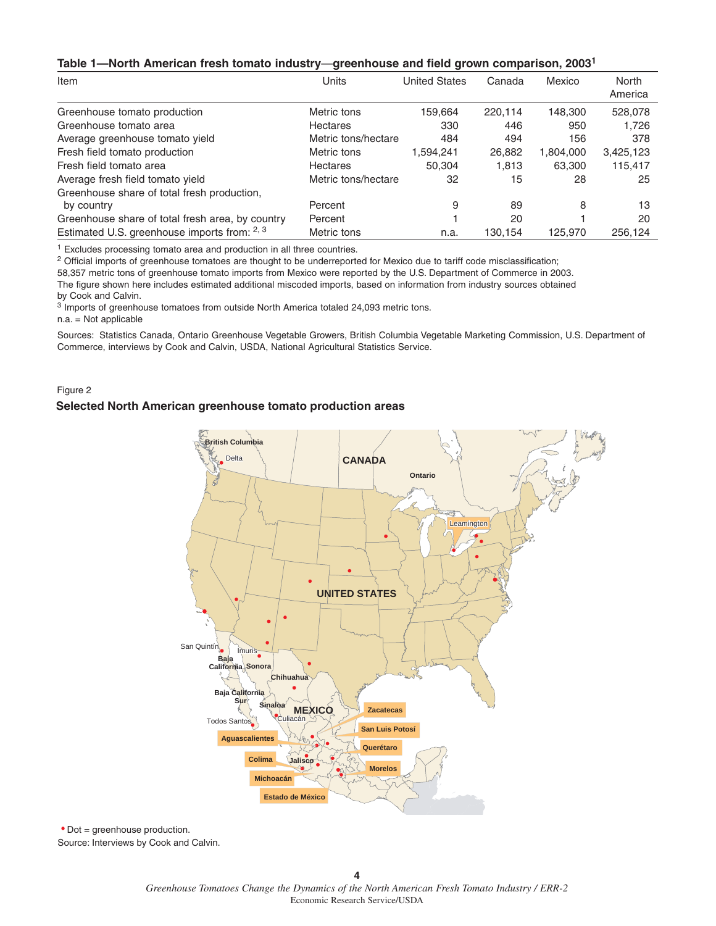#### **Table 1—North American fresh tomato industry**—**greenhouse and field grown comparison, 20031**

| Item                                             | Units               | <b>United States</b> | Canada  | Mexico    | North<br>America |
|--------------------------------------------------|---------------------|----------------------|---------|-----------|------------------|
| Greenhouse tomato production                     | Metric tons         | 159.664              | 220.114 | 148,300   | 528,078          |
| Greenhouse tomato area                           | Hectares            | 330                  | 446     | 950       | 1,726            |
| Average greenhouse tomato yield                  | Metric tons/hectare | 484                  | 494     | 156       | 378              |
| Fresh field tomato production                    | Metric tons         | 1,594,241            | 26,882  | 1,804,000 | 3,425,123        |
| Fresh field tomato area                          | Hectares            | 50.304               | 1,813   | 63,300    | 115,417          |
| Average fresh field tomato yield                 | Metric tons/hectare | 32                   | 15      | 28        | 25               |
| Greenhouse share of total fresh production,      |                     |                      |         |           |                  |
| by country                                       | Percent             | 9                    | 89      | 8         | 13               |
| Greenhouse share of total fresh area, by country | Percent             |                      | 20      |           | 20               |
| Estimated U.S. greenhouse imports from: 2, 3     | Metric tons         | n.a.                 | 130,154 | 125,970   | 256,124          |

<sup>1</sup> Excludes processing tomato area and production in all three countries.

<sup>2</sup> Official imports of greenhouse tomatoes are thought to be underreported for Mexico due to tariff code misclassification;

58,357 metric tons of greenhouse tomato imports from Mexico were reported by the U.S. Department of Commerce in 2003. The figure shown here includes estimated additional miscoded imports, based on information from industry sources obtained by Cook and Calvin.

<sup>3</sup> Imports of greenhouse tomatoes from outside North America totaled 24,093 metric tons.

n.a. = Not applicable

Sources: Statistics Canada, Ontario Greenhouse Vegetable Growers, British Columbia Vegetable Marketing Commission, U.S. Department of Commerce, interviews by Cook and Calvin, USDA, National Agricultural Statistics Service.

Figure 2

#### **Selected North American greenhouse tomato production areas**



Source: Interviews by Cook and Calvin. Dot = greenhouse production.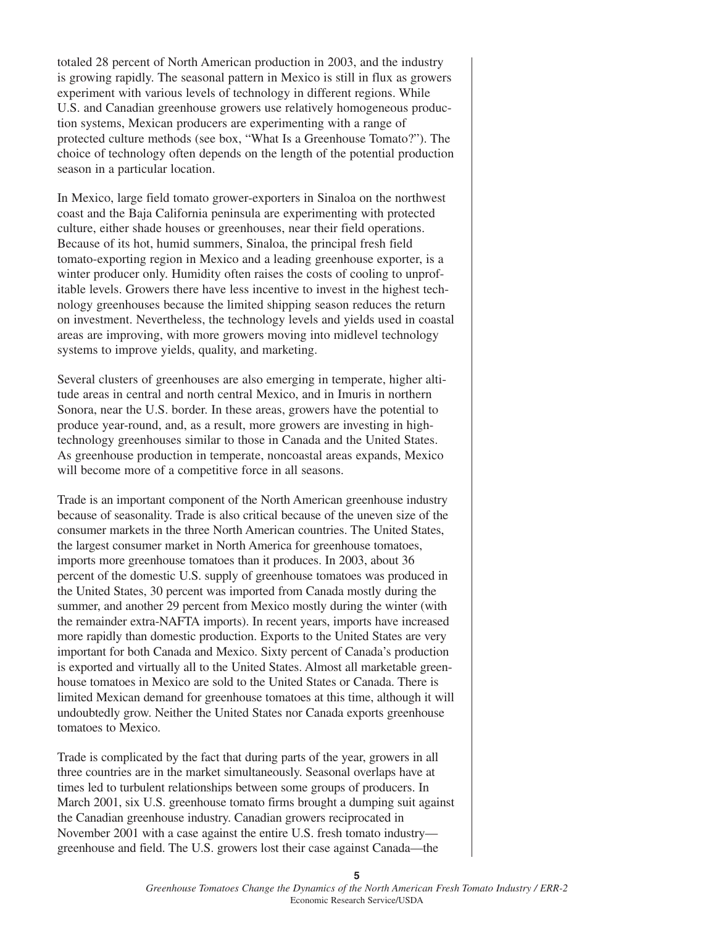totaled 28 percent of North American production in 2003, and the industry is growing rapidly. The seasonal pattern in Mexico is still in flux as growers experiment with various levels of technology in different regions. While U.S. and Canadian greenhouse growers use relatively homogeneous production systems, Mexican producers are experimenting with a range of protected culture methods (see box, "What Is a Greenhouse Tomato?"). The choice of technology often depends on the length of the potential production season in a particular location.

In Mexico, large field tomato grower-exporters in Sinaloa on the northwest coast and the Baja California peninsula are experimenting with protected culture, either shade houses or greenhouses, near their field operations. Because of its hot, humid summers, Sinaloa, the principal fresh field tomato-exporting region in Mexico and a leading greenhouse exporter, is a winter producer only. Humidity often raises the costs of cooling to unprofitable levels. Growers there have less incentive to invest in the highest technology greenhouses because the limited shipping season reduces the return on investment. Nevertheless, the technology levels and yields used in coastal areas are improving, with more growers moving into midlevel technology systems to improve yields, quality, and marketing.

Several clusters of greenhouses are also emerging in temperate, higher altitude areas in central and north central Mexico, and in Imuris in northern Sonora, near the U.S. border. In these areas, growers have the potential to produce year-round, and, as a result, more growers are investing in hightechnology greenhouses similar to those in Canada and the United States. As greenhouse production in temperate, noncoastal areas expands, Mexico will become more of a competitive force in all seasons.

Trade is an important component of the North American greenhouse industry because of seasonality. Trade is also critical because of the uneven size of the consumer markets in the three North American countries. The United States, the largest consumer market in North America for greenhouse tomatoes, imports more greenhouse tomatoes than it produces. In 2003, about 36 percent of the domestic U.S. supply of greenhouse tomatoes was produced in the United States, 30 percent was imported from Canada mostly during the summer, and another 29 percent from Mexico mostly during the winter (with the remainder extra-NAFTA imports). In recent years, imports have increased more rapidly than domestic production. Exports to the United States are very important for both Canada and Mexico. Sixty percent of Canada's production is exported and virtually all to the United States. Almost all marketable greenhouse tomatoes in Mexico are sold to the United States or Canada. There is limited Mexican demand for greenhouse tomatoes at this time, although it will undoubtedly grow. Neither the United States nor Canada exports greenhouse tomatoes to Mexico.

Trade is complicated by the fact that during parts of the year, growers in all three countries are in the market simultaneously. Seasonal overlaps have at times led to turbulent relationships between some groups of producers. In March 2001, six U.S. greenhouse tomato firms brought a dumping suit against the Canadian greenhouse industry. Canadian growers reciprocated in November 2001 with a case against the entire U.S. fresh tomato industry greenhouse and field. The U.S. growers lost their case against Canada—the

**5**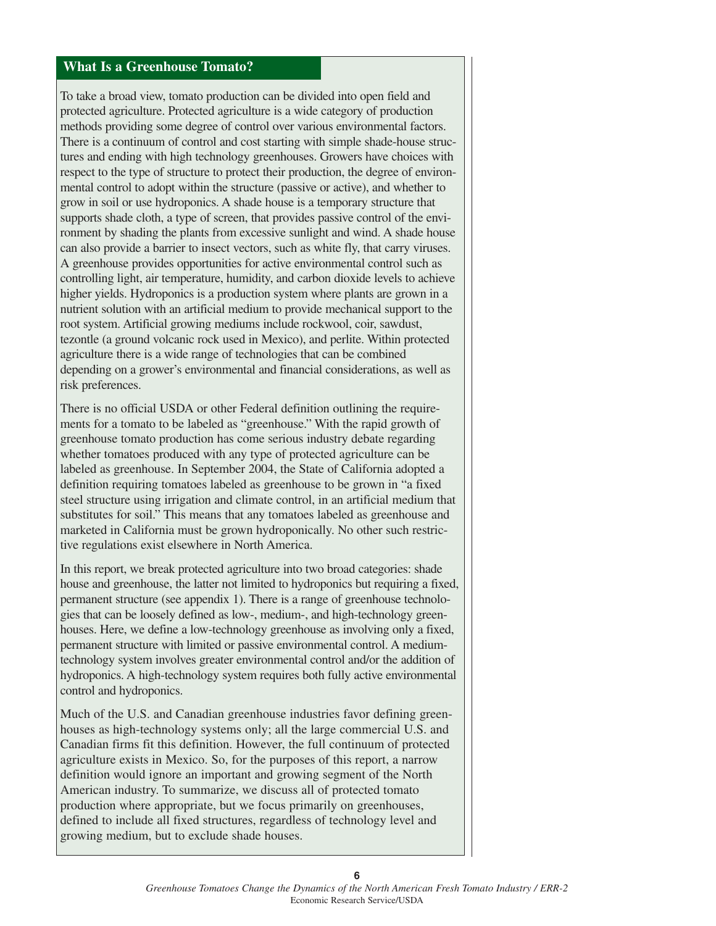## **What Is a Greenhouse Tomato?**

To take a broad view, tomato production can be divided into open field and protected agriculture. Protected agriculture is a wide category of production methods providing some degree of control over various environmental factors. There is a continuum of control and cost starting with simple shade-house structures and ending with high technology greenhouses. Growers have choices with respect to the type of structure to protect their production, the degree of environmental control to adopt within the structure (passive or active), and whether to grow in soil or use hydroponics. A shade house is a temporary structure that supports shade cloth, a type of screen, that provides passive control of the environment by shading the plants from excessive sunlight and wind. A shade house can also provide a barrier to insect vectors, such as white fly, that carry viruses. A greenhouse provides opportunities for active environmental control such as controlling light, air temperature, humidity, and carbon dioxide levels to achieve higher yields. Hydroponics is a production system where plants are grown in a nutrient solution with an artificial medium to provide mechanical support to the root system. Artificial growing mediums include rockwool, coir, sawdust, tezontle (a ground volcanic rock used in Mexico), and perlite. Within protected agriculture there is a wide range of technologies that can be combined depending on a grower's environmental and financial considerations, as well as risk preferences.

There is no official USDA or other Federal definition outlining the requirements for a tomato to be labeled as "greenhouse." With the rapid growth of greenhouse tomato production has come serious industry debate regarding whether tomatoes produced with any type of protected agriculture can be labeled as greenhouse. In September 2004, the State of California adopted a definition requiring tomatoes labeled as greenhouse to be grown in "a fixed steel structure using irrigation and climate control, in an artificial medium that substitutes for soil." This means that any tomatoes labeled as greenhouse and marketed in California must be grown hydroponically. No other such restrictive regulations exist elsewhere in North America.

In this report, we break protected agriculture into two broad categories: shade house and greenhouse, the latter not limited to hydroponics but requiring a fixed, permanent structure (see appendix 1). There is a range of greenhouse technologies that can be loosely defined as low-, medium-, and high-technology greenhouses. Here, we define a low-technology greenhouse as involving only a fixed, permanent structure with limited or passive environmental control. A mediumtechnology system involves greater environmental control and/or the addition of hydroponics. A high-technology system requires both fully active environmental control and hydroponics.

Much of the U.S. and Canadian greenhouse industries favor defining greenhouses as high-technology systems only; all the large commercial U.S. and Canadian firms fit this definition. However, the full continuum of protected agriculture exists in Mexico. So, for the purposes of this report, a narrow definition would ignore an important and growing segment of the North American industry. To summarize, we discuss all of protected tomato production where appropriate, but we focus primarily on greenhouses, defined to include all fixed structures, regardless of technology level and growing medium, but to exclude shade houses.

**6**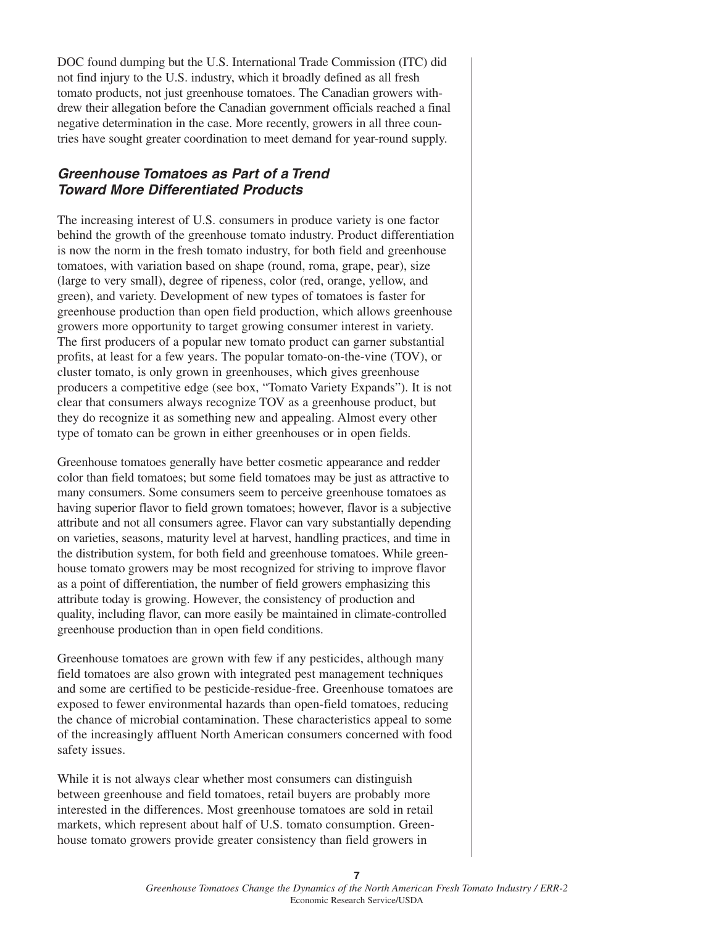DOC found dumping but the U.S. International Trade Commission (ITC) did not find injury to the U.S. industry, which it broadly defined as all fresh tomato products, not just greenhouse tomatoes. The Canadian growers withdrew their allegation before the Canadian government officials reached a final negative determination in the case. More recently, growers in all three countries have sought greater coordination to meet demand for year-round supply.

## **Greenhouse Tomatoes as Part of a Trend Toward More Differentiated Products**

The increasing interest of U.S. consumers in produce variety is one factor behind the growth of the greenhouse tomato industry. Product differentiation is now the norm in the fresh tomato industry, for both field and greenhouse tomatoes, with variation based on shape (round, roma, grape, pear), size (large to very small), degree of ripeness, color (red, orange, yellow, and green), and variety. Development of new types of tomatoes is faster for greenhouse production than open field production, which allows greenhouse growers more opportunity to target growing consumer interest in variety. The first producers of a popular new tomato product can garner substantial profits, at least for a few years. The popular tomato-on-the-vine (TOV), or cluster tomato, is only grown in greenhouses, which gives greenhouse producers a competitive edge (see box, "Tomato Variety Expands"). It is not clear that consumers always recognize TOV as a greenhouse product, but they do recognize it as something new and appealing. Almost every other type of tomato can be grown in either greenhouses or in open fields.

Greenhouse tomatoes generally have better cosmetic appearance and redder color than field tomatoes; but some field tomatoes may be just as attractive to many consumers. Some consumers seem to perceive greenhouse tomatoes as having superior flavor to field grown tomatoes; however, flavor is a subjective attribute and not all consumers agree. Flavor can vary substantially depending on varieties, seasons, maturity level at harvest, handling practices, and time in the distribution system, for both field and greenhouse tomatoes. While greenhouse tomato growers may be most recognized for striving to improve flavor as a point of differentiation, the number of field growers emphasizing this attribute today is growing. However, the consistency of production and quality, including flavor, can more easily be maintained in climate-controlled greenhouse production than in open field conditions.

Greenhouse tomatoes are grown with few if any pesticides, although many field tomatoes are also grown with integrated pest management techniques and some are certified to be pesticide-residue-free. Greenhouse tomatoes are exposed to fewer environmental hazards than open-field tomatoes, reducing the chance of microbial contamination. These characteristics appeal to some of the increasingly affluent North American consumers concerned with food safety issues.

While it is not always clear whether most consumers can distinguish between greenhouse and field tomatoes, retail buyers are probably more interested in the differences. Most greenhouse tomatoes are sold in retail markets, which represent about half of U.S. tomato consumption. Greenhouse tomato growers provide greater consistency than field growers in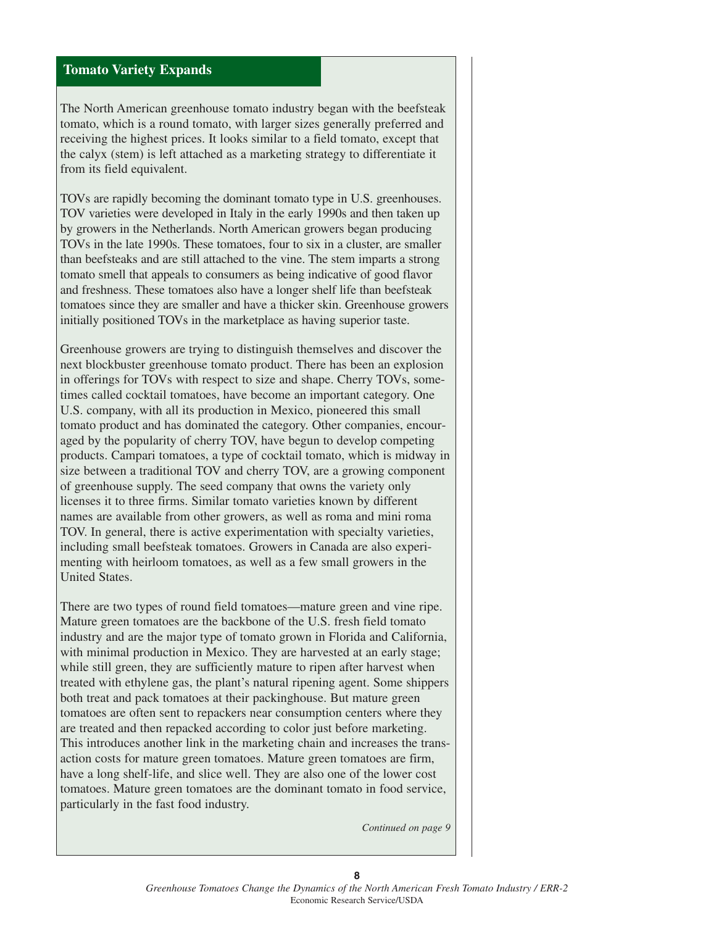## **Tomato Variety Expands**

The North American greenhouse tomato industry began with the beefsteak tomato, which is a round tomato, with larger sizes generally preferred and receiving the highest prices. It looks similar to a field tomato, except that the calyx (stem) is left attached as a marketing strategy to differentiate it from its field equivalent.

TOVs are rapidly becoming the dominant tomato type in U.S. greenhouses. TOV varieties were developed in Italy in the early 1990s and then taken up by growers in the Netherlands. North American growers began producing TOVs in the late 1990s. These tomatoes, four to six in a cluster, are smaller than beefsteaks and are still attached to the vine. The stem imparts a strong tomato smell that appeals to consumers as being indicative of good flavor and freshness. These tomatoes also have a longer shelf life than beefsteak tomatoes since they are smaller and have a thicker skin. Greenhouse growers initially positioned TOVs in the marketplace as having superior taste.

Greenhouse growers are trying to distinguish themselves and discover the next blockbuster greenhouse tomato product. There has been an explosion in offerings for TOVs with respect to size and shape. Cherry TOVs, sometimes called cocktail tomatoes, have become an important category. One U.S. company, with all its production in Mexico, pioneered this small tomato product and has dominated the category. Other companies, encouraged by the popularity of cherry TOV, have begun to develop competing products. Campari tomatoes, a type of cocktail tomato, which is midway in size between a traditional TOV and cherry TOV, are a growing component of greenhouse supply. The seed company that owns the variety only licenses it to three firms. Similar tomato varieties known by different names are available from other growers, as well as roma and mini roma TOV. In general, there is active experimentation with specialty varieties, including small beefsteak tomatoes. Growers in Canada are also experimenting with heirloom tomatoes, as well as a few small growers in the United States.

There are two types of round field tomatoes—mature green and vine ripe. Mature green tomatoes are the backbone of the U.S. fresh field tomato industry and are the major type of tomato grown in Florida and California, with minimal production in Mexico. They are harvested at an early stage; while still green, they are sufficiently mature to ripen after harvest when treated with ethylene gas, the plant's natural ripening agent. Some shippers both treat and pack tomatoes at their packinghouse. But mature green tomatoes are often sent to repackers near consumption centers where they are treated and then repacked according to color just before marketing. This introduces another link in the marketing chain and increases the transaction costs for mature green tomatoes. Mature green tomatoes are firm, have a long shelf-life, and slice well. They are also one of the lower cost tomatoes. Mature green tomatoes are the dominant tomato in food service, particularly in the fast food industry.

*Continued on page 9*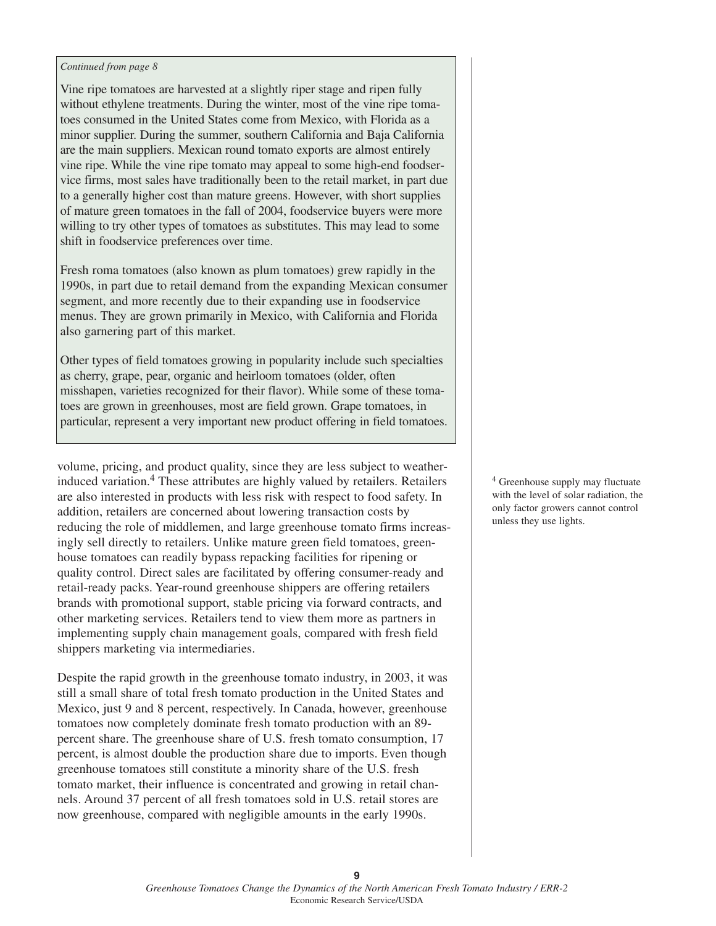#### *Continued from page 8*

Vine ripe tomatoes are harvested at a slightly riper stage and ripen fully without ethylene treatments. During the winter, most of the vine ripe tomatoes consumed in the United States come from Mexico, with Florida as a minor supplier. During the summer, southern California and Baja California are the main suppliers. Mexican round tomato exports are almost entirely vine ripe. While the vine ripe tomato may appeal to some high-end foodservice firms, most sales have traditionally been to the retail market, in part due to a generally higher cost than mature greens. However, with short supplies of mature green tomatoes in the fall of 2004, foodservice buyers were more willing to try other types of tomatoes as substitutes. This may lead to some shift in foodservice preferences over time.

Fresh roma tomatoes (also known as plum tomatoes) grew rapidly in the 1990s, in part due to retail demand from the expanding Mexican consumer segment, and more recently due to their expanding use in foodservice menus. They are grown primarily in Mexico, with California and Florida also garnering part of this market.

Other types of field tomatoes growing in popularity include such specialties as cherry, grape, pear, organic and heirloom tomatoes (older, often misshapen, varieties recognized for their flavor). While some of these tomatoes are grown in greenhouses, most are field grown. Grape tomatoes, in particular, represent a very important new product offering in field tomatoes.

volume, pricing, and product quality, since they are less subject to weatherinduced variation.<sup>4</sup> These attributes are highly valued by retailers. Retailers are also interested in products with less risk with respect to food safety. In addition, retailers are concerned about lowering transaction costs by reducing the role of middlemen, and large greenhouse tomato firms increasingly sell directly to retailers. Unlike mature green field tomatoes, greenhouse tomatoes can readily bypass repacking facilities for ripening or quality control. Direct sales are facilitated by offering consumer-ready and retail-ready packs. Year-round greenhouse shippers are offering retailers brands with promotional support, stable pricing via forward contracts, and other marketing services. Retailers tend to view them more as partners in implementing supply chain management goals, compared with fresh field shippers marketing via intermediaries.

Despite the rapid growth in the greenhouse tomato industry, in 2003, it was still a small share of total fresh tomato production in the United States and Mexico, just 9 and 8 percent, respectively. In Canada, however, greenhouse tomatoes now completely dominate fresh tomato production with an 89 percent share. The greenhouse share of U.S. fresh tomato consumption, 17 percent, is almost double the production share due to imports. Even though greenhouse tomatoes still constitute a minority share of the U.S. fresh tomato market, their influence is concentrated and growing in retail channels. Around 37 percent of all fresh tomatoes sold in U.S. retail stores are now greenhouse, compared with negligible amounts in the early 1990s.

<sup>4</sup> Greenhouse supply may fluctuate with the level of solar radiation, the only factor growers cannot control unless they use lights.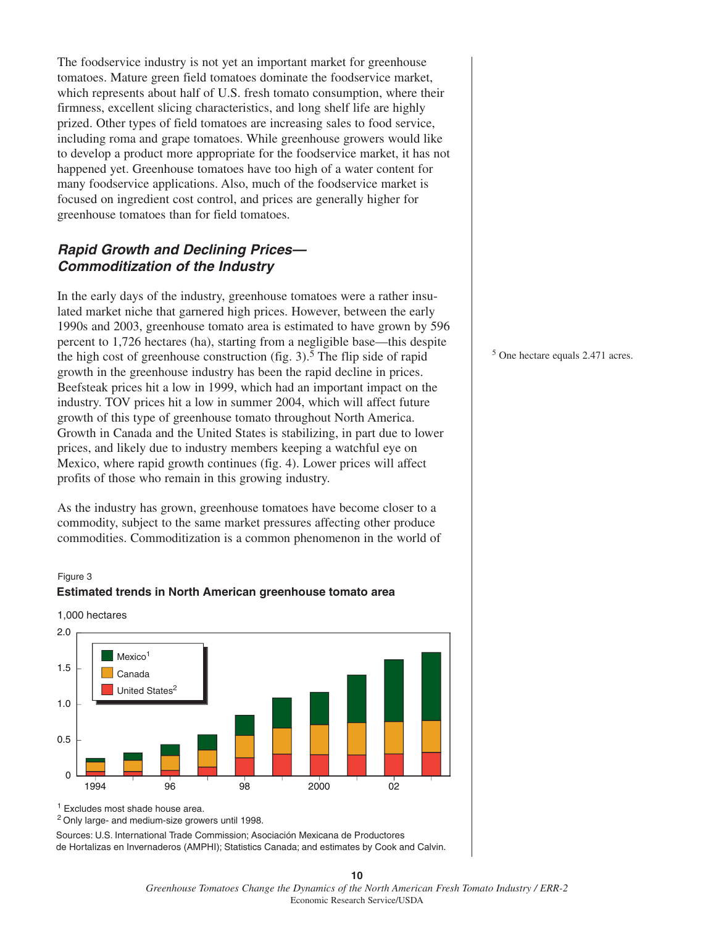The foodservice industry is not yet an important market for greenhouse tomatoes. Mature green field tomatoes dominate the foodservice market, which represents about half of U.S. fresh tomato consumption, where their firmness, excellent slicing characteristics, and long shelf life are highly prized. Other types of field tomatoes are increasing sales to food service, including roma and grape tomatoes. While greenhouse growers would like to develop a product more appropriate for the foodservice market, it has not happened yet. Greenhouse tomatoes have too high of a water content for many foodservice applications. Also, much of the foodservice market is focused on ingredient cost control, and prices are generally higher for greenhouse tomatoes than for field tomatoes.

## **Rapid Growth and Declining Prices— Commoditization of the Industry**

In the early days of the industry, greenhouse tomatoes were a rather insulated market niche that garnered high prices. However, between the early 1990s and 2003, greenhouse tomato area is estimated to have grown by 596 percent to 1,726 hectares (ha), starting from a negligible base—this despite the high cost of greenhouse construction (fig.  $3$ ).<sup>5</sup> The flip side of rapid growth in the greenhouse industry has been the rapid decline in prices. Beefsteak prices hit a low in 1999, which had an important impact on the industry. TOV prices hit a low in summer 2004, which will affect future growth of this type of greenhouse tomato throughout North America. Growth in Canada and the United States is stabilizing, in part due to lower prices, and likely due to industry members keeping a watchful eye on Mexico, where rapid growth continues (fig. 4). Lower prices will affect profits of those who remain in this growing industry.

As the industry has grown, greenhouse tomatoes have become closer to a commodity, subject to the same market pressures affecting other produce commodities. Commoditization is a common phenomenon in the world of

#### Figure 3



1,000 hectares



<sup>1</sup> Excludes most shade house area.

2 Only large- and medium-size growers until 1998.

Sources: U.S. International Trade Commission; Asociación Mexicana de Productores de Hortalizas en Invernaderos (AMPHI); Statistics Canada; and estimates by Cook and Calvin. <sup>5</sup> One hectare equals 2.471 acres.